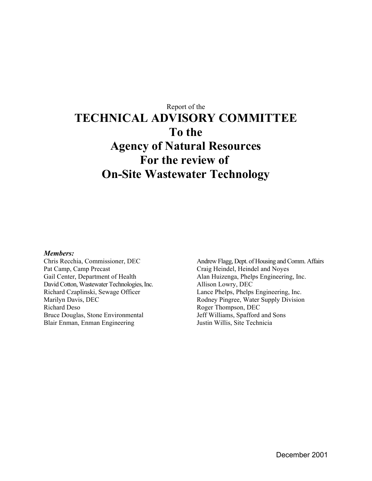# Report of the **TECHNICAL ADVISORY COMMITTEE To the Agency of Natural Resources For the review of On-Site Wastewater Technology**

#### *Members:*

Chris Recchia, Commissioner, DEC Pat Camp, Camp Precast Gail Center, Department of Health David Cotton, Wastewater Technologies, Inc. Richard Czaplinski, Sewage Officer Marilyn Davis, DEC Richard Deso Bruce Douglas, Stone Environmental Blair Enman, Enman Engineering

Andrew Flagg, Dept. of Housing and Comm. Affairs Craig Heindel, Heindel and Noyes Alan Huizenga, Phelps Engineering, Inc. Allison Lowry, DEC Lance Phelps, Phelps Engineering, Inc. Rodney Pingree, Water Supply Division Roger Thompson, DEC Jeff Williams, Spafford and Sons Justin Willis, Site Technicia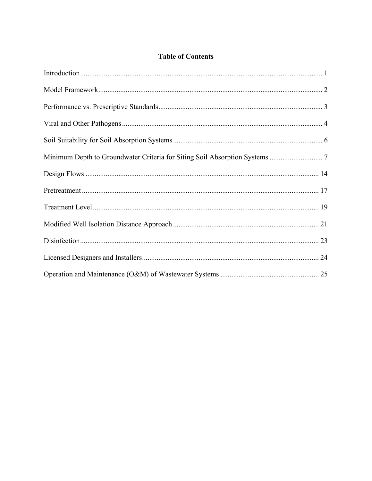# **Table of Contents**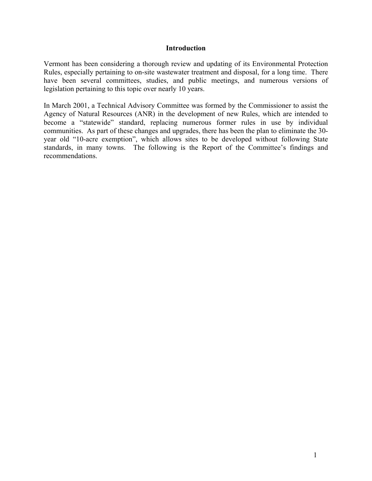### <span id="page-2-0"></span>**Introduction**

Vermont has been considering a thorough review and updating of its Environmental Protection Rules, especially pertaining to on-site wastewater treatment and disposal, for a long time. There have been several committees, studies, and public meetings, and numerous versions of legislation pertaining to this topic over nearly 10 years.

In March 2001, a Technical Advisory Committee was formed by the Commissioner to assist the Agency of Natural Resources (ANR) in the development of new Rules, which are intended to become a "statewide" standard, replacing numerous former rules in use by individual communities. As part of these changes and upgrades, there has been the plan to eliminate the 30 year old "10-acre exemption", which allows sites to be developed without following State standards, in many towns. The following is the Report of the Committee's findings and recommendations.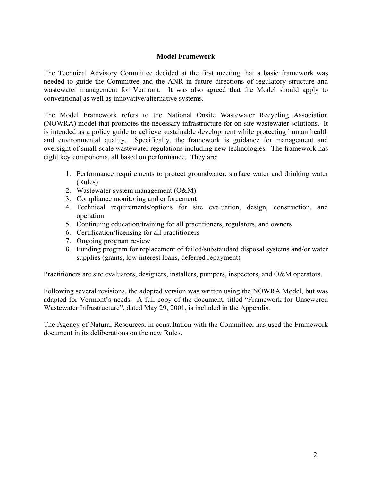# <span id="page-3-0"></span>**Model Framework**

The Technical Advisory Committee decided at the first meeting that a basic framework was needed to guide the Committee and the ANR in future directions of regulatory structure and wastewater management for Vermont. It was also agreed that the Model should apply to conventional as well as innovative/alternative systems.

The Model Framework refers to the National Onsite Wastewater Recycling Association (NOWRA) model that promotes the necessary infrastructure for on-site wastewater solutions. It is intended as a policy guide to achieve sustainable development while protecting human health and environmental quality. Specifically, the framework is guidance for management and oversight of small-scale wastewater regulations including new technologies. The framework has eight key components, all based on performance. They are:

- 1. Performance requirements to protect groundwater, surface water and drinking water (Rules)
- 2. Wastewater system management (O&M)
- 3. Compliance monitoring and enforcement
- 4. Technical requirements/options for site evaluation, design, construction, and operation
- 5. Continuing education/training for all practitioners, regulators, and owners
- 6. Certification/licensing for all practitioners
- 7. Ongoing program review
- 8. Funding program for replacement of failed/substandard disposal systems and/or water supplies (grants, low interest loans, deferred repayment)

Practitioners are site evaluators, designers, installers, pumpers, inspectors, and O&M operators.

Following several revisions, the adopted version was written using the NOWRA Model, but was adapted for Vermont's needs. A full copy of the document, titled "Framework for Unsewered Wastewater Infrastructure", dated May 29, 2001, is included in the Appendix.

The Agency of Natural Resources, in consultation with the Committee, has used the Framework document in its deliberations on the new Rules.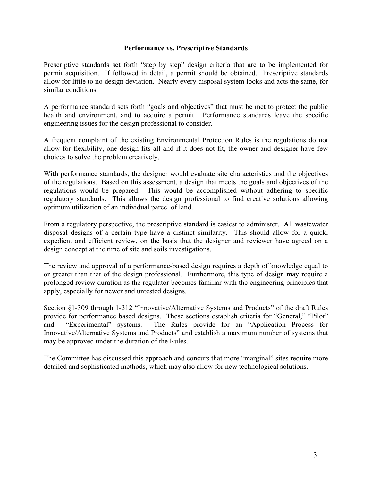## <span id="page-4-0"></span>**Performance vs. Prescriptive Standards**

Prescriptive standards set forth "step by step" design criteria that are to be implemented for permit acquisition. If followed in detail, a permit should be obtained. Prescriptive standards allow for little to no design deviation. Nearly every disposal system looks and acts the same, for similar conditions.

A performance standard sets forth "goals and objectives" that must be met to protect the public health and environment, and to acquire a permit. Performance standards leave the specific engineering issues for the design professional to consider.

A frequent complaint of the existing Environmental Protection Rules is the regulations do not allow for flexibility, one design fits all and if it does not fit, the owner and designer have few choices to solve the problem creatively.

With performance standards, the designer would evaluate site characteristics and the objectives of the regulations. Based on this assessment, a design that meets the goals and objectives of the regulations would be prepared. This would be accomplished without adhering to specific regulatory standards. This allows the design professional to find creative solutions allowing optimum utilization of an individual parcel of land.

From a regulatory perspective, the prescriptive standard is easiest to administer. All wastewater disposal designs of a certain type have a distinct similarity. This should allow for a quick, expedient and efficient review, on the basis that the designer and reviewer have agreed on a design concept at the time of site and soils investigations.

The review and approval of a performance-based design requires a depth of knowledge equal to or greater than that of the design professional. Furthermore, this type of design may require a prolonged review duration as the regulator becomes familiar with the engineering principles that apply, especially for newer and untested designs.

Section §1-309 through 1-312 "Innovative/Alternative Systems and Products" of the draft Rules provide for performance based designs. These sections establish criteria for "General," "Pilot" and "Experimental" systems. The Rules provide for an "Application Process for Innovative/Alternative Systems and Products" and establish a maximum number of systems that may be approved under the duration of the Rules.

The Committee has discussed this approach and concurs that more "marginal" sites require more detailed and sophisticated methods, which may also allow for new technological solutions.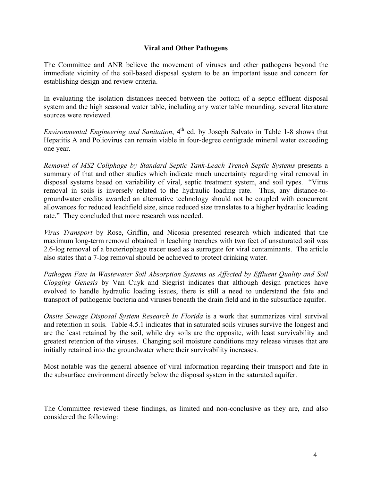# <span id="page-5-0"></span>**Viral and Other Pathogens**

The Committee and ANR believe the movement of viruses and other pathogens beyond the immediate vicinity of the soil-based disposal system to be an important issue and concern for establishing design and review criteria.

In evaluating the isolation distances needed between the bottom of a septic effluent disposal system and the high seasonal water table, including any water table mounding, several literature sources were reviewed.

*Environmental Engineering and Sanitation*, 4<sup>th</sup> ed. by Joseph Salvato in Table 1-8 shows that Hepatitis A and Poliovirus can remain viable in four-degree centigrade mineral water exceeding one year.

*Removal of MS2 Coliphage by Standard Septic Tank-Leach Trench Septic Systems* presents a summary of that and other studies which indicate much uncertainty regarding viral removal in disposal systems based on variability of viral, septic treatment system, and soil types. "Virus removal in soils is inversely related to the hydraulic loading rate. Thus, any distance-togroundwater credits awarded an alternative technology should not be coupled with concurrent allowances for reduced leachfield size, since reduced size translates to a higher hydraulic loading rate." They concluded that more research was needed.

*Virus Transport* by Rose, Griffin, and Nicosia presented research which indicated that the maximum long-term removal obtained in leaching trenches with two feet of unsaturated soil was 2.6-log removal of a bacteriophage tracer used as a surrogate for viral contaminants. The article also states that a 7-log removal should be achieved to protect drinking water.

*Pathogen Fate in Wastewater Soil Absorption Systems as Affected by Effluent Quality and Soil Clogging Genesis* by Van Cuyk and Siegrist indicates that although design practices have evolved to handle hydraulic loading issues, there is still a need to understand the fate and transport of pathogenic bacteria and viruses beneath the drain field and in the subsurface aquifer.

*Onsite Sewage Disposal System Research In Florida* is a work that summarizes viral survival and retention in soils. Table 4.5.1 indicates that in saturated soils viruses survive the longest and are the least retained by the soil, while dry soils are the opposite, with least survivability and greatest retention of the viruses. Changing soil moisture conditions may release viruses that are initially retained into the groundwater where their survivability increases.

Most notable was the general absence of viral information regarding their transport and fate in the subsurface environment directly below the disposal system in the saturated aquifer.

The Committee reviewed these findings, as limited and non-conclusive as they are, and also considered the following: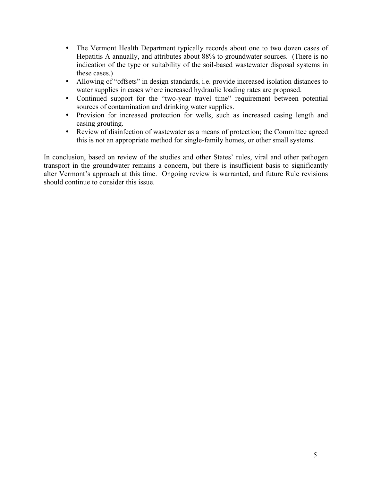- The Vermont Health Department typically records about one to two dozen cases of Hepatitis A annually, and attributes about 88% to groundwater sources. (There is no indication of the type or suitability of the soil-based wastewater disposal systems in these cases.)
- Allowing of "offsets" in design standards, i.e. provide increased isolation distances to water supplies in cases where increased hydraulic loading rates are proposed.
- Continued support for the "two-year travel time" requirement between potential sources of contamination and drinking water supplies.
- Provision for increased protection for wells, such as increased casing length and casing grouting.
- Review of disinfection of wastewater as a means of protection; the Committee agreed this is not an appropriate method for single-family homes, or other small systems.

In conclusion, based on review of the studies and other States' rules, viral and other pathogen transport in the groundwater remains a concern, but there is insufficient basis to significantly alter Vermont's approach at this time. Ongoing review is warranted, and future Rule revisions should continue to consider this issue.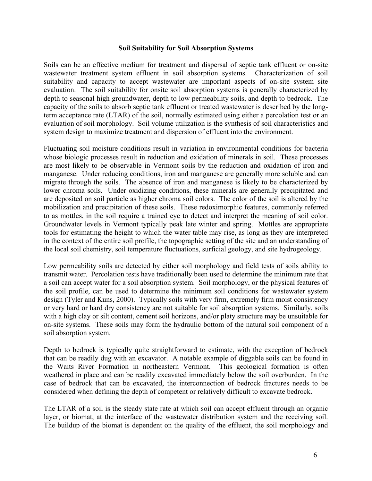#### <span id="page-7-0"></span>**Soil Suitability for Soil Absorption Systems**

Soils can be an effective medium for treatment and dispersal of septic tank effluent or on-site wastewater treatment system effluent in soil absorption systems. Characterization of soil suitability and capacity to accept wastewater are important aspects of on-site system site evaluation. The soil suitability for onsite soil absorption systems is generally characterized by depth to seasonal high groundwater, depth to low permeability soils, and depth to bedrock. The capacity of the soils to absorb septic tank effluent or treated wastewater is described by the longterm acceptance rate (LTAR) of the soil, normally estimated using either a percolation test or an evaluation of soil morphology. Soil volume utilization is the synthesis of soil characteristics and system design to maximize treatment and dispersion of effluent into the environment.

Fluctuating soil moisture conditions result in variation in environmental conditions for bacteria whose biologic processes result in reduction and oxidation of minerals in soil. These processes are most likely to be observable in Vermont soils by the reduction and oxidation of iron and manganese. Under reducing conditions, iron and manganese are generally more soluble and can migrate through the soils. The absence of iron and manganese is likely to be characterized by lower chroma soils. Under oxidizing conditions, these minerals are generally precipitated and are deposited on soil particle as higher chroma soil colors. The color of the soil is altered by the mobilization and precipitation of these soils. These redoximorphic features, commonly referred to as mottles, in the soil require a trained eye to detect and interpret the meaning of soil color. Groundwater levels in Vermont typically peak late winter and spring. Mottles are appropriate tools for estimating the height to which the water table may rise, as long as they are interpreted in the context of the entire soil profile, the topographic setting of the site and an understanding of the local soil chemistry, soil temperature fluctuations, surficial geology, and site hydrogeology.

Low permeability soils are detected by either soil morphology and field tests of soils ability to transmit water. Percolation tests have traditionally been used to determine the minimum rate that a soil can accept water for a soil absorption system. Soil morphology, or the physical features of the soil profile, can be used to determine the minimum soil conditions for wastewater system design (Tyler and Kuns, 2000). Typically soils with very firm, extremely firm moist consistency or very hard or hard dry consistency are not suitable for soil absorption systems. Similarly, soils with a high clay or silt content, cement soil horizons, and/or platy structure may be unsuitable for on-site systems. These soils may form the hydraulic bottom of the natural soil component of a soil absorption system.

Depth to bedrock is typically quite straightforward to estimate, with the exception of bedrock that can be readily dug with an excavator. A notable example of diggable soils can be found in the Waits River Formation in northeastern Vermont. This geological formation is often weathered in place and can be readily excavated immediately below the soil overburden. In the case of bedrock that can be excavated, the interconnection of bedrock fractures needs to be considered when defining the depth of competent or relatively difficult to excavate bedrock.

The LTAR of a soil is the steady state rate at which soil can accept effluent through an organic layer, or biomat, at the interface of the wastewater distribution system and the receiving soil. The buildup of the biomat is dependent on the quality of the effluent, the soil morphology and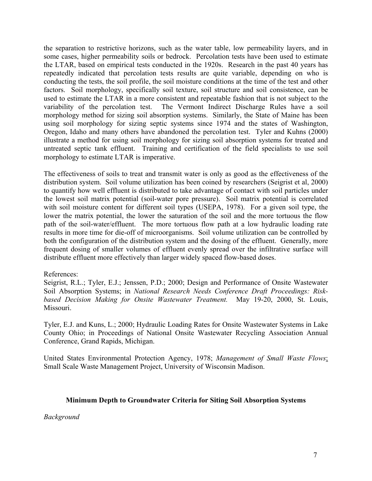the separation to restrictive horizons, such as the water table, low permeability layers, and in some cases, higher permeability soils or bedrock. Percolation tests have been used to estimate the LTAR, based on empirical tests conducted in the 1920s. Research in the past 40 years has repeatedly indicated that percolation tests results are quite variable, depending on who is conducting the tests, the soil profile, the soil moisture conditions at the time of the test and other factors. Soil morphology, specifically soil texture, soil structure and soil consistence, can be used to estimate the LTAR in a more consistent and repeatable fashion that is not subject to the variability of the percolation test. The Vermont Indirect Discharge Rules have a soil morphology method for sizing soil absorption systems. Similarly, the State of Maine has been using soil morphology for sizing septic systems since 1974 and the states of Washington, Oregon, Idaho and many others have abandoned the percolation test. Tyler and Kuhns (2000) illustrate a method for using soil morphology for sizing soil absorption systems for treated and untreated septic tank effluent. Training and certification of the field specialists to use soil morphology to estimate LTAR is imperative.

The effectiveness of soils to treat and transmit water is only as good as the effectiveness of the distribution system. Soil volume utilization has been coined by researchers (Seigrist et al, 2000) to quantify how well effluent is distributed to take advantage of contact with soil particles under the lowest soil matrix potential (soil-water pore pressure). Soil matrix potential is correlated with soil moisture content for different soil types (USEPA, 1978). For a given soil type, the lower the matrix potential, the lower the saturation of the soil and the more tortuous the flow path of the soil-water/effluent. The more tortuous flow path at a low hydraulic loading rate results in more time for die-off of microorganisms. Soil volume utilization can be controlled by both the configuration of the distribution system and the dosing of the effluent. Generally, more frequent dosing of smaller volumes of effluent evenly spread over the infiltrative surface will distribute effluent more effectively than larger widely spaced flow-based doses.

# References:

Seigrist, R.L.; Tyler, E.J.; Jenssen, P.D.; 2000; Design and Performance of Onsite Wastewater Soil Absorption Systems; in *National Research Needs Conference Draft Proceedings: Riskbased Decision Making for Onsite Wastewater Treatment.* May 19-20, 2000, St. Louis, Missouri.

Tyler, E.J. and Kuns, L.; 2000; Hydraulic Loading Rates for Onsite Wastewater Systems in Lake County Ohio; in Proceedings of National Onsite Wastewater Recycling Association Annual Conference, Grand Rapids, Michigan.

United States Environmental Protection Agency, 1978; *Management of Small Waste Flows*; Small Scale Waste Management Project, University of Wisconsin Madison.

# <span id="page-8-0"></span>**Minimum Depth to Groundwater Criteria for Siting Soil Absorption Systems**

*Background*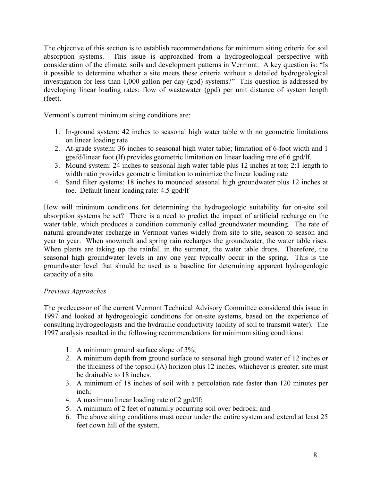The objective of this section is to establish recommendations for minimum siting criteria for soil absorption systems. This issue is approached from a hydrogeological perspective with consideration of the climate, soils and development patterns in Vermont. A key question is: "Is it possible to determine whether a site meets these criteria without a detailed hydrogeological investigation for less than 1,000 gallon per day (gpd) systems?" This question is addressed by developing linear loading rates: flow of wastewater (gpd) per unit distance of system length (feet).

Vermont's current minimum siting conditions are:

- 1. In-ground system: 42 inches to seasonal high water table with no geometric limitations on linear loading rate
- 2. At-grade system: 36 inches to seasonal high water table; limitation of 6-foot width and 1 gpsfd/linear foot (lf) provides geometric limitation on linear loading rate of 6 gpd/lf.
- 3. Mound system: 24 inches to seasonal high water table plus 12 inches at toe; 2:1 length to width ratio provides geometric limitation to minimize the linear loading rate
- 4. Sand filter systems: 18 inches to mounded seasonal high groundwater plus 12 inches at toe. Default linear loading rate: 4.5 gpd/lf

How will minimum conditions for determining the hydrogeologic suitability for on-site soil absorption systems be set? There is a need to predict the impact of artificial recharge on the water table, which produces a condition commonly called groundwater mounding. The rate of natural groundwater recharge in Vermont varies widely from site to site, season to season and year to year. When snowmelt and spring rain recharges the groundwater, the water table rises. When plants are taking up the rainfall in the summer, the water table drops. Therefore, the seasonal high groundwater levels in any one year typically occur in the spring. This is the groundwater level that should be used as a baseline for determining apparent hydrogeologic capacity of a site.

# *Previous Approaches*

The predecessor of the current Vermont Technical Advisory Committee considered this issue in 1997 and looked at hydrogeologic conditions for on-site systems, based on the experience of consulting hydrogeologists and the hydraulic conductivity (ability of soil to transmit water). The 1997 analysis resulted in the following recommendations for minimum siting conditions:

- 1. A minimum ground surface slope of 3%;
- 2. A minimum depth from ground surface to seasonal high ground water of 12 inches or the thickness of the topsoil (A) horizon plus 12 inches, whichever is greater; site must be drainable to 18 inches.
- 3. A minimum of 18 inches of soil with a percolation rate faster than 120 minutes per inch;
- 4. A maximum linear loading rate of 2 gpd/lf;
- 5. A minimum of 2 feet of naturally occurring soil over bedrock; and
- 6. The above siting conditions must occur under the entire system and extend at least 25 feet down hill of the system.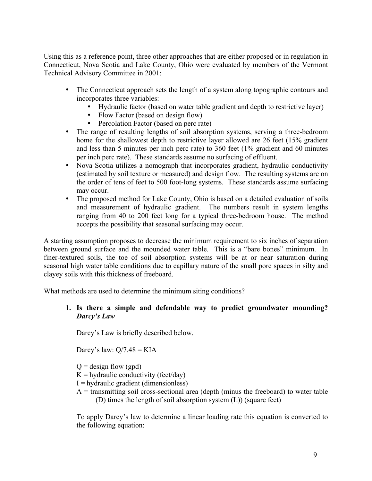Using this as a reference point, three other approaches that are either proposed or in regulation in Connecticut, Nova Scotia and Lake County, Ohio were evaluated by members of the Vermont Technical Advisory Committee in 2001:

- The Connecticut approach sets the length of a system along topographic contours and incorporates three variables:
	- Hydraulic factor (based on water table gradient and depth to restrictive layer)
	- Flow Factor (based on design flow)
	- Percolation Factor (based on perc rate)
- The range of resulting lengths of soil absorption systems, serving a three-bedroom home for the shallowest depth to restrictive layer allowed are 26 feet (15% gradient and less than 5 minutes per inch perc rate) to 360 feet (1% gradient and 60 minutes per inch perc rate). These standards assume no surfacing of effluent.
- Nova Scotia utilizes a nomograph that incorporates gradient, hydraulic conductivity (estimated by soil texture or measured) and design flow. The resulting systems are on the order of tens of feet to 500 foot-long systems. These standards assume surfacing may occur.
- The proposed method for Lake County, Ohio is based on a detailed evaluation of soils and measurement of hydraulic gradient. The numbers result in system lengths ranging from 40 to 200 feet long for a typical three-bedroom house. The method accepts the possibility that seasonal surfacing may occur.

A starting assumption proposes to decrease the minimum requirement to six inches of separation between ground surface and the mounded water table. This is a "bare bones" minimum. In finer-textured soils, the toe of soil absorption systems will be at or near saturation during seasonal high water table conditions due to capillary nature of the small pore spaces in silty and clayey soils with this thickness of freeboard.

What methods are used to determine the minimum siting conditions?

# **1. Is there a simple and defendable way to predict groundwater mounding?** *Darcy's Law*

Darcy's Law is briefly described below.

Darcy's law:  $Q/7.48 = KIA$ 

 $Q =$  design flow (gpd)

 $K =$  hydraulic conductivity (feet/day)

 $I = hydraulic gradient (dimensionless)$ 

 $A =$  transmitting soil cross-sectional area (depth (minus the freeboard) to water table (D) times the length of soil absorption system (L)) (square feet)

To apply Darcy's law to determine a linear loading rate this equation is converted to the following equation: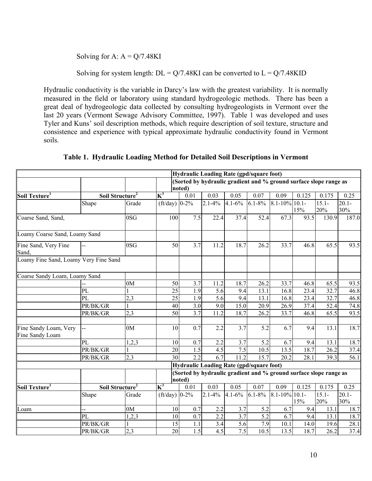Solving for A:  $A = Q/7.48KL$ 

Solving for system length:  $DL = Q/7.48KI$  can be converted to  $L = Q/7.48KID$ 

Hydraulic conductivity is the variable in Darcy's law with the greatest variability. It is normally measured in the field or laboratory using standard hydrogeologic methods. There has been a great deal of hydrogeologic data collected by consulting hydrogeologists in Vermont over the last 20 years (Vermont Sewage Advisory Committee, 1997). Table 1 was developed and uses Tyler and Kuns' soil description methods, which require description of soil texture, structure and consistence and experience with typical approximate hydraulic conductivity found in Vermont soils.

|                                          |          |                             |                                                                             |        |             | <b>Hydraulic Loading Rate (gpd/square foot)</b> |             |                                                                   |       |                 |                 |
|------------------------------------------|----------|-----------------------------|-----------------------------------------------------------------------------|--------|-------------|-------------------------------------------------|-------------|-------------------------------------------------------------------|-------|-----------------|-----------------|
|                                          |          |                             |                                                                             |        |             |                                                 |             | (Sorted by hydraulic gradient and % ground surface slope range as |       |                 |                 |
|                                          |          |                             |                                                                             | noted) |             |                                                 |             |                                                                   |       |                 |                 |
| Soil Texture <sup>1</sup>                |          | Soil Structure <sup>2</sup> | $K^3$                                                                       | 0.01   | 0.03        | 0.05                                            | 0.07        | 0.09                                                              | 0.125 | 0.175           | 0.25            |
|                                          | Shape    | Grade                       | (ft/day) $ 0-2\%$                                                           |        | $2.1 - 4\%$ | $4.1 - 6\%$                                     | $6.1 - 8\%$ | $8.1 - 10\%$ 10.1-                                                | 15%   | $15.1 -$<br>20% | $20.1 -$<br>30% |
| Coarse Sand, Sand,                       |          | 0SG                         | 100                                                                         | 7.5    | 22.4        | 37.4                                            | 52.4        | 67.3                                                              | 93.5  | 130.9           | 187.0           |
| Loamy Coarse Sand, Loamy Sand            |          |                             |                                                                             |        |             |                                                 |             |                                                                   |       |                 |                 |
| Fine Sand, Very Fine<br>Sand,            |          | 0SG                         | 50                                                                          | 3.7    | 11.2        | 18.7                                            | 26.2        | 33.7                                                              | 46.8  | 65.5            | 93.5            |
| Loamy Fine Sand, Loamy Very Fine Sand    |          |                             |                                                                             |        |             |                                                 |             |                                                                   |       |                 |                 |
| Coarse Sandy Loam, Loamy Sand            |          |                             |                                                                             |        |             |                                                 |             |                                                                   |       |                 |                 |
|                                          |          | 0 <sub>M</sub>              | 50                                                                          | 3.7    | 11.2        | 18.7                                            | 26.2        | 33.7                                                              | 46.8  | 65.5            | 93.5            |
|                                          | PL       |                             | 25                                                                          | 1.9    | 5.6         | 9.4                                             | 13.1        | 16.8                                                              | 23.4  | 32.7            | 46.8            |
|                                          | PL       | 2,3                         | 25                                                                          | 1.9    | 5.6         | 9.4                                             | 13.1        | 16.8                                                              | 23.4  | 32.7            | 46.8            |
|                                          | PR/BK/GR |                             | 40                                                                          | 3.0    | 9.0         | 15.0                                            | 20.9        | 26.9                                                              | 37.4  | 52.4            | 74.8            |
|                                          | PR/BK/GR | 2,3                         | 50                                                                          | 3.7    | 11.2        | 18.7                                            | 26.2        | 33.7                                                              | 46.8  | 65.5            | 93.5            |
| Fine Sandy Loam, Very<br>Fine Sandy Loam |          | 0M                          | 10                                                                          | 0.7    | 2.2         | 3.7                                             | 5.2         | 6.7                                                               | 9.4   | 13.1            | 18.7            |
|                                          | PL       | 1,2,3                       | 10                                                                          | 0.7    | 2.2         | 3.7                                             | 5.2         | 6.7                                                               | 9.4   | 13.1            | 18.7            |
|                                          | PR/BK/GR |                             | 20                                                                          | 1.5    | 4.5         | 7.5                                             | 10.5        | 13.5                                                              | 18.7  | 26.2            | 37.4            |
|                                          | PR/BK/GR | 2,3                         | 30                                                                          | 2.2    | 6.7         | 11.2                                            | 15.7        | 20.2                                                              | 28.1  | 39.3            | 56.1            |
|                                          |          |                             |                                                                             |        |             | <b>Hydraulic Loading Rate (gpd/square foot)</b> |             |                                                                   |       |                 |                 |
|                                          |          |                             | (Sorted by hydraulic gradient and % ground surface slope range as<br>noted) |        |             |                                                 |             |                                                                   |       |                 |                 |
| Soil Texture <sup>1</sup>                |          | Soil Structure <sup>2</sup> | $K^3$                                                                       | 0.01   | 0.03        | 0.05                                            | 0.07        | 0.09                                                              | 0.125 | 0.175           | 0.25            |
|                                          | Shape    | Grade                       | (ft/day) $ 0-2\%$                                                           |        | $2.1 - 4\%$ | $4.1 - 6\%$                                     | $6.1 - 8\%$ | $8.1 - 10\%$ 10.1-                                                | 15%   | $15.1 -$<br>20% | $20.1 -$<br>30% |
| Loam                                     |          | 0 <sub>M</sub>              | 10                                                                          | 0.7    | 2.2         | 3.7                                             | 5.2         | 6.7                                                               | 9.4   | 13.1            | 18.7            |
|                                          | PL       | 1,2,3                       | 10                                                                          | 0.7    | 2.2         | 3.7                                             | 5.2         | 6.7                                                               | 9.4   | 13.1            | 18.7            |
|                                          | PR/BK/GR |                             | 15                                                                          | 1.1    | 3.4         | 5.6                                             | 7.9         | 10.1                                                              | 14.0  | 19.6            | 28.1            |
|                                          | PR/BK/GR | 2,3                         | 20                                                                          | 1.5    | 4.5         | 7.5                                             | 10.5        | 13.5                                                              | 18.7  | 26.2            | 37.4            |

**Table 1. Hydraulic Loading Method for Detailed Soil Descriptions in Vermont**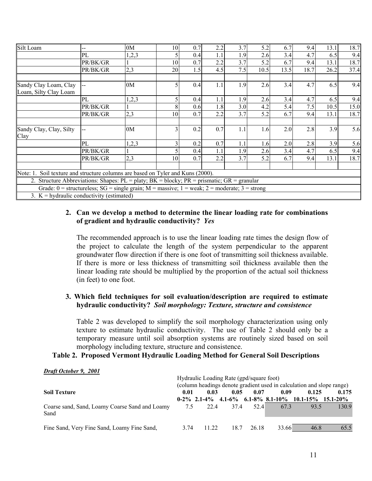| Silt Loam                                                                                          |          | 0M    | 10 | 0.7 | 2.2 | 3.7 | 5.2  | 6.7  | 9.4  | 13.1 | 18.7 |
|----------------------------------------------------------------------------------------------------|----------|-------|----|-----|-----|-----|------|------|------|------|------|
|                                                                                                    | PL       | 1,2,3 |    | 0.4 | 1.1 | 1.9 | 2.6  | 3.4  | 4.7  | 6.5  | 9.4  |
|                                                                                                    | PR/BK/GR |       | 10 | 0.7 | 2.2 | 3.7 | 5.2  | 6.7  | 9.4  | 13.1 | 18.7 |
|                                                                                                    | PR/BK/GR | 2,3   | 20 | 1.5 | 4.5 | 7.5 | 10.5 | 13.5 | 18.7 | 26.2 | 37.4 |
| Sandy Clay Loam, Clay<br>Loam, Silty Clay Loam                                                     |          | 0M    |    | 0.4 | 1.1 | 1.9 | 2.6  | 3.4  | 4.7  | 6.5  | 9.4  |
|                                                                                                    | PL       | 1,2,3 |    | 0.4 | 1.1 | 1.9 | 2.6  | 3.4  | 4.7  | 6.5  | 9.4  |
|                                                                                                    | PR/BK/GR |       | 8  | 0.6 | 1.8 | 3.0 | 4.2  | 5.4  | 7.5  | 10.5 | 15.0 |
|                                                                                                    | PR/BK/GR | 2,3   | 10 | 0.7 | 2.2 | 3.7 | 5.2  | 6.7  | 9.4  | 13.1 | 18.7 |
| Sandy Clay, Clay, Silty<br>Clay                                                                    |          | 0M    |    | 0.2 | 0.7 | 1.1 | 1.6  | 2.0  | 2.8  | 3.9  | 5.6  |
|                                                                                                    | PL       | 1,2,3 |    | 0.2 | 0.7 | 1.1 | 1.6  | 2.0  | 2.8  | 3.9  | 5.6  |
|                                                                                                    | PR/BK/GR |       |    | 0.4 | 1.1 | 1.9 | 2.6  | 3.4  | 4.7  | 6.5  | 9.4  |
|                                                                                                    | PR/BK/GR | 2,3   | 10 | 0.7 | 2.2 | 3.7 | 5.2  | 6.7  | 9.4  | 13.1 | 18.7 |
| Note: 1. Soil texture and structure columns are based on Tyler and Kuns (2000).                    |          |       |    |     |     |     |      |      |      |      |      |
| 2. Structure Abbreviations: Shapes: $PL =$ platy; $BK =$ blocky; $PR =$ prismatic; $GR =$ granular |          |       |    |     |     |     |      |      |      |      |      |
| Grade: $0$ = structureless; SG = single grain; M = massive; 1 = weak; 2 = moderate; 3 = strong     |          |       |    |     |     |     |      |      |      |      |      |
| 3. $K =$ hydraulic conductivity (estimated)                                                        |          |       |    |     |     |     |      |      |      |      |      |

# **2. Can we develop a method to determine the linear loading rate for combinations of gradient and hydraulic conductivity?** *Yes*

The recommended approach is to use the linear loading rate times the design flow of the project to calculate the length of the system perpendicular to the apparent groundwater flow direction if there is one foot of transmitting soil thickness available. If there is more or less thickness of transmitting soil thickness available then the linear loading rate should be multiplied by the proportion of the actual soil thickness (in feet) to one foot.

# **3. Which field techniques for soil evaluation/description are required to estimate hydraulic conductivity?** *Soil morphology: Texture, structure and consistence*

Table 2 was developed to simplify the soil morphology characterization using only texture to estimate hydraulic conductivity. The use of Table 2 should only be a temporary measure until soil absorption systems are routinely sized based on soil morphology including texture, structure and consistence.

# **Table 2. Proposed Vermont Hydraulic Loading Method for General Soil Descriptions**

| $P(111 \cup 1000)$ ), $2001$                           | Hydraulic Loading Rate (gpd/square foot)<br>(column headings denote gradient used in calculation and slope range) |       |      |       |       |                                                                 |       |
|--------------------------------------------------------|-------------------------------------------------------------------------------------------------------------------|-------|------|-------|-------|-----------------------------------------------------------------|-------|
| <b>Soil Texture</b>                                    | 0.01                                                                                                              | 0.03  | 0.05 | 0.07  | 0.09  | 0.125<br>$0-2\%$ 2.1-4% 4.1-6% 6.1-8% 8.1-10% 10.1-15% 15.1-20% | 0.175 |
| Coarse sand, Sand, Loamy Coarse Sand and Loamy<br>Sand | 7.5                                                                                                               | 22.4  | 37.4 | 52.4  | 67.3  | 93.5                                                            | 130.9 |
| Fine Sand, Very Fine Sand, Loamy Fine Sand,            | 3.74                                                                                                              | 11.22 | 187  | 26.18 | 33.66 | 46.8                                                            | 65.5  |

# *Draft October 9, 2001*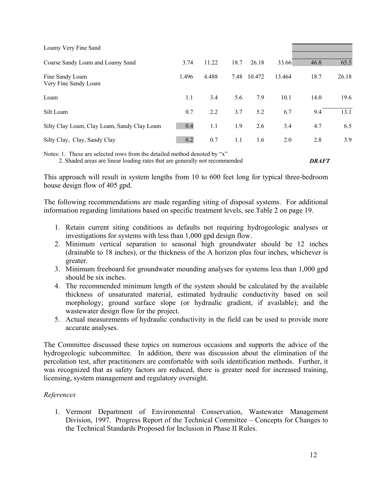| Loamy Very Fine Sand                        |       |       |      |             |        |      |       |
|---------------------------------------------|-------|-------|------|-------------|--------|------|-------|
| Coarse Sandy Loam and Loamy Sand            | 3.74  | 11.22 | 18.7 | 26.18       | 33.66  | 46.8 | 65.5  |
| Fine Sandy Loam<br>Very Fine Sandy Loam     | 1.496 | 4.488 |      | 7.48 10.472 | 13.464 | 18.7 | 26.18 |
| Loam                                        | 1.1   | 3.4   | 5.6  | 7.9         | 10.1   | 14.0 | 19.6  |
| Silt Loam                                   | 0.7   | 2.2   | 3.7  | 5.2         | 6.7    | 9.4  | 13.1  |
| Silty Clay Loam, Clay Loam, Sandy Clay Loam | 0.4   | 1.1   | 1.9  | 2.6         | 3.4    | 4.7  | 6.5   |
| Silty Clay, Clay, Sandy Clay                | 0.2   | 0.7   | 1.1  | 1.6         | 2.0    | 2.8  | 3.9   |

Notes: 1. These are selected rows from the detailed method denoted by "x" 2. Shaded areas are linear loading rates that are generally not recommended *DRAFT*

This approach will result in system lengths from 10 to 600 feet long for typical three-bedroom house design flow of 405 gpd.

The following recommendations are made regarding siting of disposal systems. For additional information regarding limitations based on specific treatment levels, see Table 2 on page 19.

- 1. Retain current siting conditions as defaults not requiring hydrogeologic analyses or investigations for systems with less than 1,000 gpd design flow.
- 2. Minimum vertical separation to seasonal high groundwater should be 12 inches (drainable to 18 inches), or the thickness of the A horizon plus four inches, whichever is greater.
- 3. Minimum freeboard for groundwater mounding analyses for systems less than 1,000 gpd should be six inches.
- 4. The recommended minimum length of the system should be calculated by the available thickness of unsaturated material, estimated hydraulic conductivity based on soil morphology; ground surface slope (or hydraulic gradient, if available); and the wastewater design flow for the project.
- 5. Actual measurements of hydraulic conductivity in the field can be used to provide more accurate analyses.

The Committee discussed these topics on numerous occasions and supports the advice of the hydrogeologic subcommittee. In addition, there was discussion about the elimination of the percolation test, after practitioners are comfortable with soils identification methods. Further, it was recognized that as safety factors are reduced, there is greater need for increased training, licensing, system management and regulatory oversight.

# *References*

1. Vermont Department of Environmental Conservation, Wastewater Management Division, 1997. Progress Report of the Technical Committee – Concepts for Changes to the Technical Standards Proposed for Inclusion in Phase II Rules.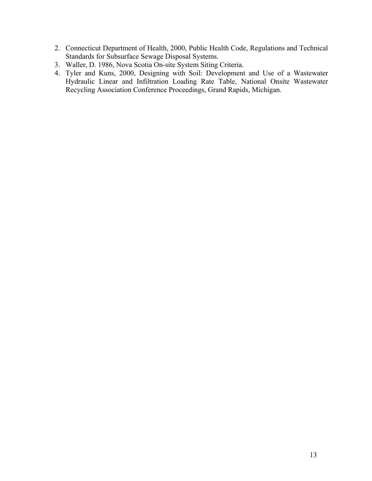- 2. Connecticut Department of Health, 2000, Public Health Code, Regulations and Technical Standards for Subsurface Sewage Disposal Systems.
- 3. Waller, D. 1986, Nova Scotia On-site System Siting Criteria.
- 4. Tyler and Kuns, 2000, Designing with Soil: Development and Use of a Wastewater Hydraulic Linear and Infiltration Loading Rate Table, National Onsite Wastewater Recycling Association Conference Proceedings, Grand Rapids, Michigan.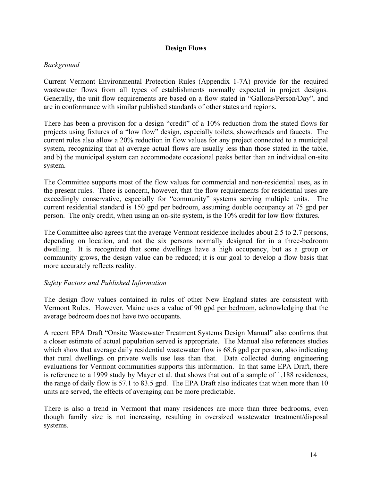# <span id="page-15-0"></span>**Design Flows**

# *Background*

Current Vermont Environmental Protection Rules (Appendix 1-7A) provide for the required wastewater flows from all types of establishments normally expected in project designs. Generally, the unit flow requirements are based on a flow stated in "Gallons/Person/Day", and are in conformance with similar published standards of other states and regions.

There has been a provision for a design "credit" of a 10% reduction from the stated flows for projects using fixtures of a "low flow" design, especially toilets, showerheads and faucets. The current rules also allow a 20% reduction in flow values for any project connected to a municipal system, recognizing that a) average actual flows are usually less than those stated in the table, and b) the municipal system can accommodate occasional peaks better than an individual on-site system.

The Committee supports most of the flow values for commercial and non-residential uses, as in the present rules. There is concern, however, that the flow requirements for residential uses are exceedingly conservative, especially for "community" systems serving multiple units. The current residential standard is 150 gpd per bedroom, assuming double occupancy at 75 gpd per person. The only credit, when using an on-site system, is the 10% credit for low flow fixtures.

The Committee also agrees that the average Vermont residence includes about 2.5 to 2.7 persons, depending on location, and not the six persons normally designed for in a three-bedroom dwelling. It is recognized that some dwellings have a high occupancy, but as a group or community grows, the design value can be reduced; it is our goal to develop a flow basis that more accurately reflects reality.

# *Safety Factors and Published Information*

The design flow values contained in rules of other New England states are consistent with Vermont Rules. However, Maine uses a value of 90 gpd per bedroom, acknowledging that the average bedroom does not have two occupants.

A recent EPA Draft "Onsite Wastewater Treatment Systems Design Manual" also confirms that a closer estimate of actual population served is appropriate. The Manual also references studies which show that average daily residential wastewater flow is 68.6 gpd per person, also indicating that rural dwellings on private wells use less than that. Data collected during engineering evaluations for Vermont communities supports this information. In that same EPA Draft, there is reference to a 1999 study by Mayer et al. that shows that out of a sample of 1,188 residences, the range of daily flow is 57.1 to 83.5 gpd. The EPA Draft also indicates that when more than 10 units are served, the effects of averaging can be more predictable.

There is also a trend in Vermont that many residences are more than three bedrooms, even though family size is not increasing, resulting in oversized wastewater treatment/disposal systems.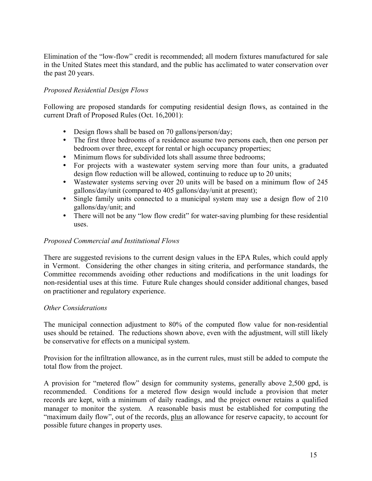Elimination of the "low-flow" credit is recommended; all modern fixtures manufactured for sale in the United States meet this standard, and the public has acclimated to water conservation over the past 20 years.

# *Proposed Residential Design Flows*

Following are proposed standards for computing residential design flows, as contained in the current Draft of Proposed Rules (Oct. 16,2001):

- Design flows shall be based on 70 gallons/person/day;
- The first three bedrooms of a residence assume two persons each, then one person per bedroom over three, except for rental or high occupancy properties;
- Minimum flows for subdivided lots shall assume three bedrooms;
- For projects with a wastewater system serving more than four units, a graduated design flow reduction will be allowed, continuing to reduce up to 20 units;
- Wastewater systems serving over 20 units will be based on a minimum flow of 245 gallons/day/unit (compared to 405 gallons/day/unit at present);
- Single family units connected to a municipal system may use a design flow of 210 gallons/day/unit; and
- There will not be any "low flow credit" for water-saving plumbing for these residential uses.

# *Proposed Commercial and Institutional Flows*

There are suggested revisions to the current design values in the EPA Rules, which could apply in Vermont. Considering the other changes in siting criteria, and performance standards, the Committee recommends avoiding other reductions and modifications in the unit loadings for non-residential uses at this time. Future Rule changes should consider additional changes, based on practitioner and regulatory experience.

# *Other Considerations*

The municipal connection adjustment to 80% of the computed flow value for non-residential uses should be retained. The reductions shown above, even with the adjustment, will still likely be conservative for effects on a municipal system.

Provision for the infiltration allowance, as in the current rules, must still be added to compute the total flow from the project.

A provision for "metered flow" design for community systems, generally above 2,500 gpd, is recommended. Conditions for a metered flow design would include a provision that meter records are kept, with a minimum of daily readings, and the project owner retains a qualified manager to monitor the system. A reasonable basis must be established for computing the "maximum daily flow", out of the records, plus an allowance for reserve capacity, to account for possible future changes in property uses.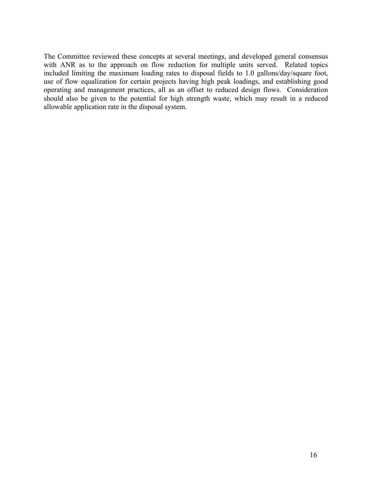The Committee reviewed these concepts at several meetings, and developed general consensus with ANR as to the approach on flow reduction for multiple units served. Related topics included limiting the maximum loading rates to disposal fields to 1.0 gallons/day/square foot, use of flow equalization for certain projects having high peak loadings, and establishing good operating and management practices, all as an offset to reduced design flows. Consideration should also be given to the potential for high strength waste, which may result in a reduced allowable application rate in the disposal system.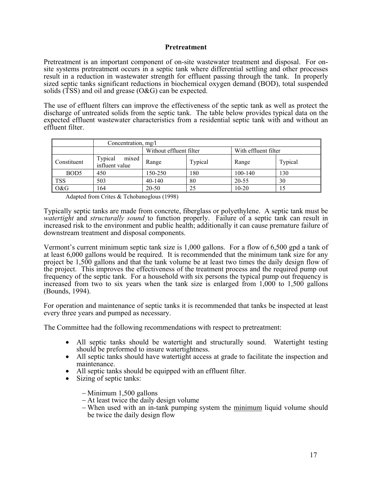### <span id="page-18-0"></span>**Pretreatment**

Pretreatment is an important component of on-site wastewater treatment and disposal. For onsite systems pretreatment occurs in a septic tank where differential settling and other processes result in a reduction in wastewater strength for effluent passing through the tank. In properly sized septic tanks significant reductions in biochemical oxygen demand (BOD), total suspended solids (TSS) and oil and grease (O&G) can be expected.

The use of effluent filters can improve the effectiveness of the septic tank as well as protect the discharge of untreated solids from the septic tank. The table below provides typical data on the expected effluent wastewater characteristics from a residential septic tank with and without an effluent filter.

|                  | Concentration, mg/l                |                         |         |                      |         |  |  |  |
|------------------|------------------------------------|-------------------------|---------|----------------------|---------|--|--|--|
|                  |                                    | Without effluent filter |         | With effluent filter |         |  |  |  |
| Constituent      | mixed<br>Typical<br>influent value | Range                   | Typical | Range                | Typical |  |  |  |
| BOD <sub>5</sub> | 450                                | 150-250                 | 180     | 100-140              | 130     |  |  |  |
| <b>TSS</b>       | 503                                | 40-140                  | 80      | 20-55                | 30      |  |  |  |
| O&G              | 164                                | $20 - 50$               | 25      | $10-20$              | 15      |  |  |  |

Adapted from Crites & Tchobanoglous (1998)

Typically septic tanks are made from concrete, fiberglass or polyethylene. A septic tank must be *watertight* and *structurally sound* to function properly. Failure of a septic tank can result in increased risk to the environment and public health; additionally it can cause premature failure of downstream treatment and disposal components.

Vermont's current minimum septic tank size is 1,000 gallons. For a flow of 6,500 gpd a tank of at least 6,000 gallons would be required. It is recommended that the minimum tank size for any project be 1,500 gallons and that the tank volume be at least two times the daily design flow of the project. This improves the effectiveness of the treatment process and the required pump out frequency of the septic tank. For a household with six persons the typical pump out frequency is increased from two to six years when the tank size is enlarged from 1,000 to 1,500 gallons (Bounds, 1994).

For operation and maintenance of septic tanks it is recommended that tanks be inspected at least every three years and pumped as necessary.

The Committee had the following recommendations with respect to pretreatment:

- All septic tanks should be watertight and structurally sound. Watertight testing should be preformed to insure watertightness.
- All septic tanks should have watertight access at grade to facilitate the inspection and maintenance.
- All septic tanks should be equipped with an effluent filter.
- Sizing of septic tanks:

− Minimum 1,500 gallons

- − At least twice the daily design volume
- − When used with an in-tank pumping system the minimum liquid volume should be twice the daily design flow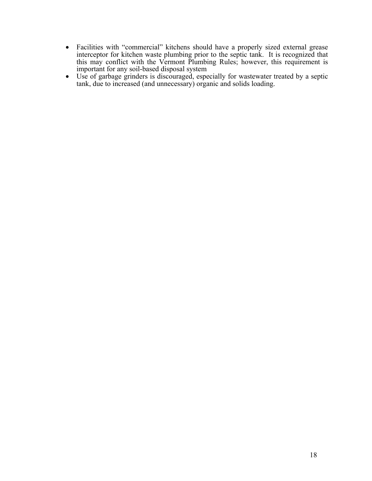- Facilities with "commercial" kitchens should have a properly sized external grease interceptor for kitchen waste plumbing prior to the septic tank. It is recognized that this may conflict with the Vermont Plumbing Rules; however, this requirement is
- Use of garbage grinders is discouraged, especially for wastewater treated by a septic<br>• Use of garbage grinders is discouraged, especially for wastewater treated by a septic tank, due to increased (and unnecessary) organic and solids loading.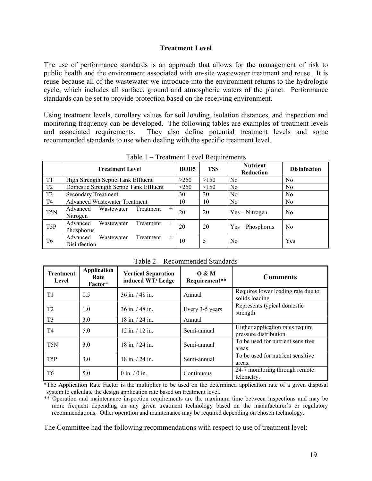### <span id="page-20-0"></span>**Treatment Level**

The use of performance standards is an approach that allows for the management of risk to public health and the environment associated with on-site wastewater treatment and reuse. It is reuse because all of the wastewater we introduce into the environment returns to the hydrologic cycle, which includes all surface, ground and atmospheric waters of the planet. Performance standards can be set to provide protection based on the receiving environment.

Using treatment levels, corollary values for soil loading, isolation distances, and inspection and monitoring frequency can be developed. The following tables are examples of treatment levels and associated requirements. They also define potential treatment levels and some recommended standards to use when dealing with the specific treatment level.

|                 | <b>Treatment Level</b>                                     | <b>BOD5</b> | <b>TSS</b> | <b>Nutrient</b><br>Reduction | <b>Disinfection</b> |
|-----------------|------------------------------------------------------------|-------------|------------|------------------------------|---------------------|
| $\mathsf{I}$ T1 | High Strength Septic Tank Effluent                         | >250        | >150       | N <sub>0</sub>               | N <sub>0</sub>      |
| $\sqrt{12}$     | Domestic Strength Septic Tank Effluent                     | $\leq$ 250  | <150       | No                           | N <sub>0</sub>      |
| $\overline{13}$ | <b>Secondary Treatment</b>                                 | 30          | 30         | No.                          | N <sub>0</sub>      |
| T <sub>4</sub>  | <b>Advanced Wastewater Treatment</b>                       | 10          | 10         | No.                          | N <sub>0</sub>      |
| $\mid$ T5N      | Advanced<br>Wastewater<br>Treatment<br>$^{+}$<br>Nitrogen  | 20          | 20         | $Yes - Nitrogen$             | N <sub>0</sub>      |
| T5P             | Advanced<br>Wastewater<br>Treatment<br>$+$<br>Phosphorus   | 20          | 20         | Yes - Phosphorus             | N <sub>0</sub>      |
| T6              | Advanced<br>Wastewater<br>Treatment<br>$+$<br>Disinfection | 10          | 5          | N <sub>0</sub>               | Yes                 |

Table 1 – Treatment Level Requirements

Table 2 – Recommended Standards

| <b>Treatment</b><br>Level | <b>Application</b><br>Rate<br>Factor* | <b>Vertical Separation</b><br>induced WT/Ledge | 0 & M<br>Requirement** | <b>Comments</b>                                            |
|---------------------------|---------------------------------------|------------------------------------------------|------------------------|------------------------------------------------------------|
| T1                        | 0.5                                   | $36$ in $/48$ in                               | Annual                 | Requires lower loading rate due to<br>solids loading       |
| T <sub>2</sub>            | 1.0                                   | $36$ in $/48$ in                               | Every 3-5 years        | Represents typical domestic<br>strength                    |
| T <sub>3</sub>            | 3.0                                   | 18 in. / 24 in.                                | Annual                 |                                                            |
| T4                        | 5.0                                   | $12$ in $/12$ in                               | Semi-annual            | Higher application rates require<br>pressure distribution. |
| T <sub>5</sub> N          | 3.0                                   | $18$ in $/24$ in                               | Semi-annual            | To be used for nutrient sensitive<br>areas.                |
| T <sub>5</sub> P          | 3.0                                   | $18$ in $/24$ in                               | Semi-annual            | To be used for nutrient sensitive<br>areas.                |
| T <sub>6</sub>            | 5.0                                   | $0$ in $/0$ in.                                | Continuous             | 24-7 monitoring through remote<br>telemetry.               |

\*The Application Rate Factor is the multiplier to be used on the determined application rate of a given disposal system to calculate the design application rate based on treatment level.

\*\* Operation and maintenance inspection requirements are the maximum time between inspections and may be more frequent depending on any given treatment technology based on the manufacturer's or regulatory recommendations. Other operation and maintenance may be required depending on chosen technology.

The Committee had the following recommendations with respect to use of treatment level: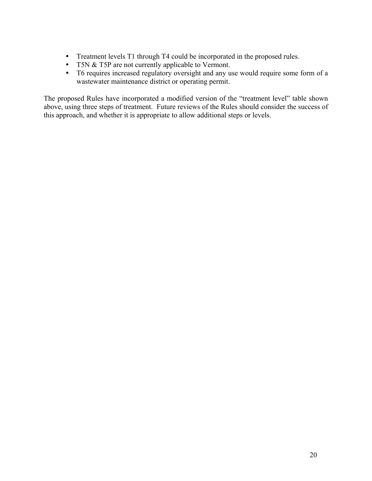- Treatment levels T1 through T4 could be incorporated in the proposed rules.
- T5N & T5P are not currently applicable to Vermont.
- T6 requires increased regulatory oversight and any use would require some form of a wastewater maintenance district or operating permit.

The proposed Rules have incorporated a modified version of the "treatment level" table shown above, using three steps of treatment. Future reviews of the Rules should consider the success of this approach, and whether it is appropriate to allow additional steps or levels.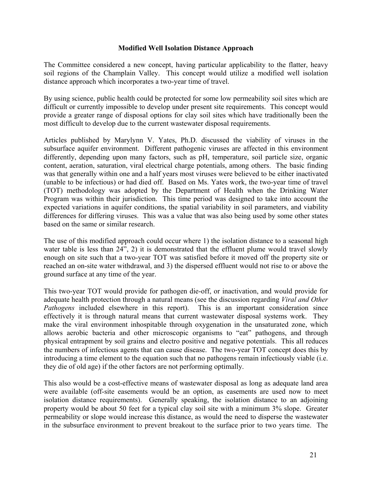## <span id="page-22-0"></span>**Modified Well Isolation Distance Approach**

The Committee considered a new concept, having particular applicability to the flatter, heavy soil regions of the Champlain Valley. This concept would utilize a modified well isolation distance approach which incorporates a two-year time of travel.

By using science, public health could be protected for some low permeability soil sites which are difficult or currently impossible to develop under present site requirements. This concept would provide a greater range of disposal options for clay soil sites which have traditionally been the most difficult to develop due to the current wastewater disposal requirements.

Articles published by Marylynn V. Yates, Ph.D. discussed the viability of viruses in the subsurface aquifer environment. Different pathogenic viruses are affected in this environment differently, depending upon many factors, such as pH, temperature, soil particle size, organic content, aeration, saturation, viral electrical charge potentials, among others. The basic finding was that generally within one and a half years most viruses were believed to be either inactivated (unable to be infectious) or had died off. Based on Ms. Yates work, the two-year time of travel (TOT) methodology was adopted by the Department of Health when the Drinking Water Program was within their jurisdiction. This time period was designed to take into account the expected variations in aquifer conditions, the spatial variability in soil parameters, and viability differences for differing viruses. This was a value that was also being used by some other states based on the same or similar research.

The use of this modified approach could occur where 1) the isolation distance to a seasonal high water table is less than 24", 2) it is demonstrated that the effluent plume would travel slowly enough on site such that a two-year TOT was satisfied before it moved off the property site or reached an on-site water withdrawal, and 3) the dispersed effluent would not rise to or above the ground surface at any time of the year.

This two-year TOT would provide for pathogen die-off, or inactivation, and would provide for adequate health protection through a natural means (see the discussion regarding *Viral and Other Pathogens* included elsewhere in this report). This is an important consideration since effectively it is through natural means that current wastewater disposal systems work. They make the viral environment inhospitable through oxygenation in the unsaturated zone, which allows aerobic bacteria and other microscopic organisms to "eat" pathogens, and through physical entrapment by soil grains and electro positive and negative potentials. This all reduces the numbers of infectious agents that can cause disease. The two-year TOT concept does this by introducing a time element to the equation such that no pathogens remain infectiously viable (i.e. they die of old age) if the other factors are not performing optimally.

This also would be a cost-effective means of wastewater disposal as long as adequate land area were available (off-site easements would be an option, as easements are used now to meet isolation distance requirements). Generally speaking, the isolation distance to an adjoining property would be about 50 feet for a typical clay soil site with a minimum 3% slope. Greater permeability or slope would increase this distance, as would the need to disperse the wastewater in the subsurface environment to prevent breakout to the surface prior to two years time. The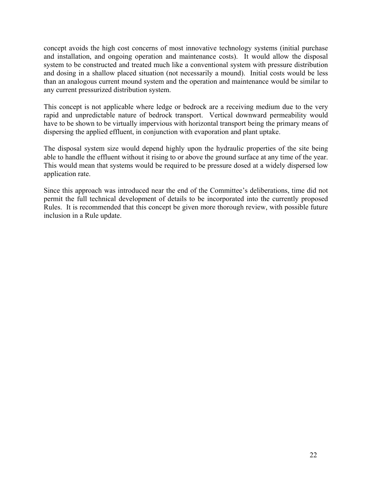concept avoids the high cost concerns of most innovative technology systems (initial purchase and installation, and ongoing operation and maintenance costs). It would allow the disposal system to be constructed and treated much like a conventional system with pressure distribution and dosing in a shallow placed situation (not necessarily a mound). Initial costs would be less than an analogous current mound system and the operation and maintenance would be similar to any current pressurized distribution system.

This concept is not applicable where ledge or bedrock are a receiving medium due to the very rapid and unpredictable nature of bedrock transport. Vertical downward permeability would have to be shown to be virtually impervious with horizontal transport being the primary means of dispersing the applied effluent, in conjunction with evaporation and plant uptake.

The disposal system size would depend highly upon the hydraulic properties of the site being able to handle the effluent without it rising to or above the ground surface at any time of the year. This would mean that systems would be required to be pressure dosed at a widely dispersed low application rate.

Since this approach was introduced near the end of the Committee's deliberations, time did not permit the full technical development of details to be incorporated into the currently proposed Rules. It is recommended that this concept be given more thorough review, with possible future inclusion in a Rule update.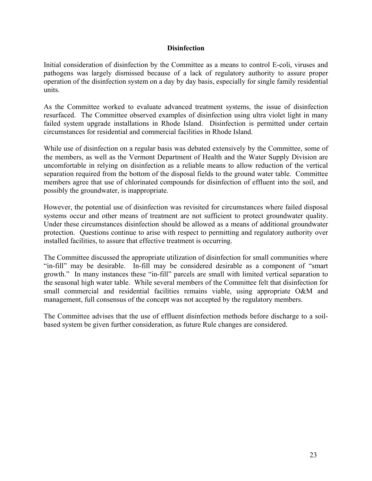# <span id="page-24-0"></span>**Disinfection**

Initial consideration of disinfection by the Committee as a means to control E-coli, viruses and pathogens was largely dismissed because of a lack of regulatory authority to assure proper operation of the disinfection system on a day by day basis, especially for single family residential units.

As the Committee worked to evaluate advanced treatment systems, the issue of disinfection resurfaced. The Committee observed examples of disinfection using ultra violet light in many failed system upgrade installations in Rhode Island. Disinfection is permitted under certain circumstances for residential and commercial facilities in Rhode Island.

While use of disinfection on a regular basis was debated extensively by the Committee, some of the members, as well as the Vermont Department of Health and the Water Supply Division are uncomfortable in relying on disinfection as a reliable means to allow reduction of the vertical separation required from the bottom of the disposal fields to the ground water table. Committee members agree that use of chlorinated compounds for disinfection of effluent into the soil, and possibly the groundwater, is inappropriate.

However, the potential use of disinfection was revisited for circumstances where failed disposal systems occur and other means of treatment are not sufficient to protect groundwater quality. Under these circumstances disinfection should be allowed as a means of additional groundwater protection. Questions continue to arise with respect to permitting and regulatory authority over installed facilities, to assure that effective treatment is occurring.

The Committee discussed the appropriate utilization of disinfection for small communities where "in-fill" may be desirable. In-fill may be considered desirable as a component of "smart growth." In many instances these "in-fill" parcels are small with limited vertical separation to the seasonal high water table. While several members of the Committee felt that disinfection for small commercial and residential facilities remains viable, using appropriate O&M and management, full consensus of the concept was not accepted by the regulatory members.

The Committee advises that the use of effluent disinfection methods before discharge to a soilbased system be given further consideration, as future Rule changes are considered.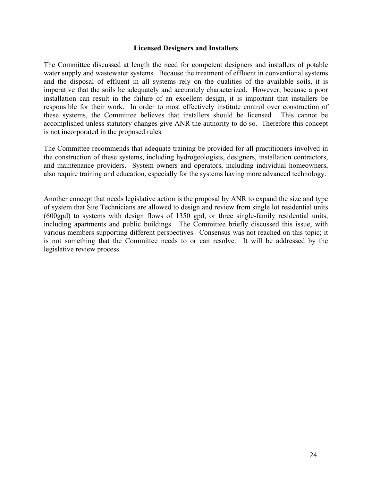### <span id="page-25-0"></span>**Licensed Designers and Installers**

The Committee discussed at length the need for competent designers and installers of potable water supply and wastewater systems. Because the treatment of effluent in conventional systems and the disposal of effluent in all systems rely on the qualities of the available soils, it is imperative that the soils be adequately and accurately characterized. However, because a poor installation can result in the failure of an excellent design, it is important that installers be responsible for their work. In order to most effectively institute control over construction of these systems, the Committee believes that installers should be licensed. This cannot be accomplished unless statutory changes give ANR the authority to do so. Therefore this concept is not incorporated in the proposed rules.

The Committee recommends that adequate training be provided for all practitioners involved in the construction of these systems, including hydrogeologists, designers, installation contractors, and maintenance providers. System owners and operators, including individual homeowners, also require training and education, especially for the systems having more advanced technology.

Another concept that needs legislative action is the proposal by ANR to expand the size and type of system that Site Technicians are allowed to design and review from single lot residential units (600gpd) to systems with design flows of 1350 gpd, or three single-family residential units, including apartments and public buildings. The Committee briefly discussed this issue, with various members supporting different perspectives. Consensus was not reached on this topic; it is not something that the Committee needs to or can resolve. It will be addressed by the legislative review process.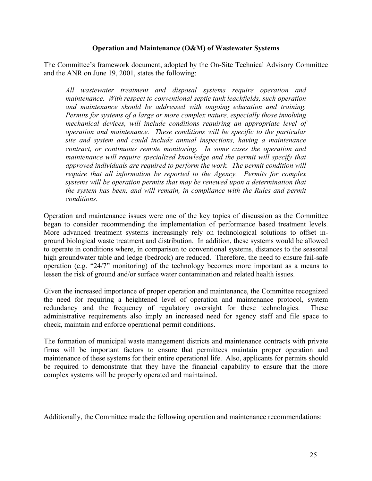# <span id="page-26-0"></span>**Operation and Maintenance (O&M) of Wastewater Systems**

The Committee's framework document, adopted by the On-Site Technical Advisory Committee and the ANR on June 19, 2001, states the following:

*All wastewater treatment and disposal systems require operation and maintenance. With respect to conventional septic tank leachfields, such operation and maintenance should be addressed with ongoing education and training. Permits for systems of a large or more complex nature, especially those involving mechanical devices, will include conditions requiring an appropriate level of operation and maintenance. These conditions will be specific to the particular site and system and could include annual inspections, having a maintenance contract, or continuous remote monitoring. In some cases the operation and maintenance will require specialized knowledge and the permit will specify that approved individuals are required to perform the work. The permit condition will require that all information be reported to the Agency. Permits for complex systems will be operation permits that may be renewed upon a determination that the system has been, and will remain, in compliance with the Rules and permit conditions.*

Operation and maintenance issues were one of the key topics of discussion as the Committee began to consider recommending the implementation of performance based treatment levels. More advanced treatment systems increasingly rely on technological solutions to offset inground biological waste treatment and distribution. In addition, these systems would be allowed to operate in conditions where, in comparison to conventional systems, distances to the seasonal high groundwater table and ledge (bedrock) are reduced. Therefore, the need to ensure fail-safe operation (e.g. "24/7" monitoring) of the technology becomes more important as a means to lessen the risk of ground and/or surface water contamination and related health issues.

Given the increased importance of proper operation and maintenance, the Committee recognized the need for requiring a heightened level of operation and maintenance protocol, system redundancy and the frequency of regulatory oversight for these technologies. These administrative requirements also imply an increased need for agency staff and file space to check, maintain and enforce operational permit conditions.

The formation of municipal waste management districts and maintenance contracts with private firms will be important factors to ensure that permittees maintain proper operation and maintenance of these systems for their entire operational life. Also, applicants for permits should be required to demonstrate that they have the financial capability to ensure that the more complex systems will be properly operated and maintained.

Additionally, the Committee made the following operation and maintenance recommendations: